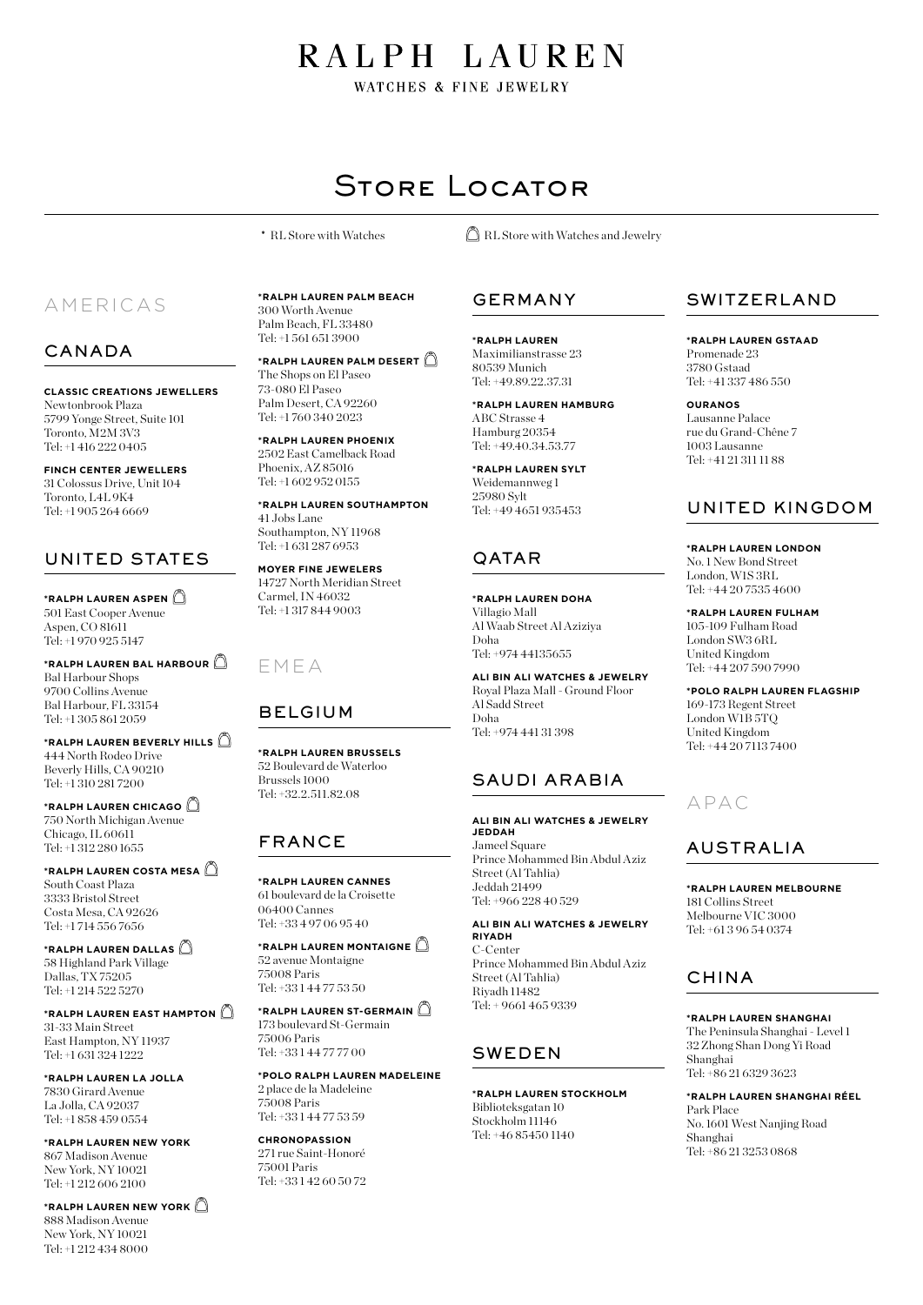# RALPH LAUREN

WATCHES & FINE JEWELRY

# Store Locator

# AMERICAS

## CANADA

**CLASSIC CREATIONS JEWELLERS** Newtonbrook Plaza 5799 Yonge Street, Suite 101 Toronto, M2M 3V3 Tel: +1 416 222 0405

**FINCH CENTER JEWELLERS** 31 Colossus Drive, Unit 104 Toronto, L4L 9K4 Tel: +1 905 264 6669

# UNITED STATES

**\*RALPH LAUREN ASPEN** 501 East Cooper Avenue Aspen, CO 81611 Tel: +1 970 925 5147

**\*RALPH LAUREN BAL HARBOUR** Bal Harbour Shops 9700 Collins Avenue Bal Harbour, FL 33154 Tel: +1 305 861 2059

**\*RALPH LAUREN BEVERLY HILLS** 444 North Rodeo Drive Beverly Hills, CA 90210 Tel: +1 310 281 7200

**\*RALPH LAUREN CHICAGO** 750 North Michigan Avenue Chicago, IL 60611 Tel: +1 312 280 1655

**\*RALPH LAUREN COSTA MESA** South Coast Plaza 3333 Bristol Street Costa Mesa, CA 92626 Tel: +1 714 556 7656

**\*RALPH LAUREN DALLAS** 58 Highland Park Village Dallas, TX 75205 Tel: +1 214 522 5270

**\*RALPH LAUREN EAST HAMPTON** 31-33 Main Street East Hampton, NY 11937 Tel: +1 631 324 1222

**\*RALPH LAUREN LA JOLLA** 7830 Girard Avenue La Jolla, CA 92037 Tel: +1 858 459 0554

**\*RALPH LAUREN NEW YORK** 867 Madison Avenue New York, NY 10021 Tel: +1 212 606 2100

**\*RALPH LAUREN NEW YORK** 888 Madison Avenue New York, NY 10021 Tel: +1 212 434 8000

**\*RALPH LAUREN PALM BEACH** 300 Worth Avenue Palm Beach, FL 33480 Tel: +1 561 651 3900

**\*RALPH LAUREN PALM DESERT** The Shops on El Paseo 73-080 El Paseo Palm Desert, CA 92260 Tel: +1 760 340 2023

**\*RALPH LAUREN PHOENIX** 2502 East Camelback Road Phoenix, AZ 85016 Tel: +1 602 952 0155

**\*RALPH LAUREN SOUTHAMPTON** 41 Jobs Lane Southampton, NY 11968 Tel: +1 631 287 6953

**MOYER FINE JEWELERS** 14727 North Meridian Street Carmel, IN 46032 Tel: +1 317 844 9003

## EMEA

## BELGIUM

**\*RALPH LAUREN BRUSSELS** 52 Boulevard de Waterloo Brussels 1000 Tel: +32.2.511.82.08

# FRANCE

**\*RALPH LAUREN CANNES** 61 boulevard de la Croisette 06400 Cannes Tel: +33 4 97 06 95 40

**\*RALPH LAUREN MONTAIGNE** 52 avenue Montaigne 75008 Paris Tel: +33 1 44 77 53 50

**\*RALPH LAUREN ST-GERMAIN** 173 boulevard St-Germain 75006 Paris Tel: +33 1 44 77 77 00

**\*POLO RALPH LAUREN MADELEINE** 2 place de la Madeleine 75008 Paris Tel: +33 1 44 77 53 59

**CHRONOPASSION** 271 rue Saint-Honoré 75001 Paris Tel: +33 1 42 60 50 72

\* RL Store with Watches  $\Box$  RL Store with Watches and Jewelry

## GERMANY

**\*RALPH LAUREN**  Maximilianstrasse 23 80539 Munich Tel: +49.89.22.37.31

**\*RALPH LAUREN HAMBURG** ABC Strasse 4 Hamburg 20354 Tel: +49.40.34.53.77

**\*RALPH LAUREN SYLT** Weidemannweg 1 25980 Sylt Tel: +49 4651 935453

# QATAR

**\*RALPH LAUREN DOHA** Villagio Mall Al Waab Street Al Aziziya Doha Tel: +974 44135655

**ALI BIN ALI WATCHES & JEWELRY** Royal Plaza Mall - Ground Floor Al Sadd Street Doha Tel: +974 441 31 398

## SAUDI ARABIA

**ALI BIN ALI WATCHES & JEWELRY JEDDAH** Jameel Square Prince Mohammed Bin Abdul Aziz Street (Al Tahlia) Jeddah 21499 Tel: +966 228 40 529

**ALI BIN ALI WATCHES & JEWELRY RIYADH** C-Center Prince Mohammed Bin Abdul Aziz Street (Al Tahlia) Riyadh 11482 Tel: + 9661 465 9339

## SWEDEN

**\*RALPH LAUREN STOCKHOLM** Biblioteksgatan 10 Stockholm 11146 Tel: +46 85450 1140

## SWITZERLAND

**\*RALPH LAUREN GSTAAD**  Promenade 23

3780 Gstaad Tel: +41 337 486 550

**OURANOS** Lausanne Palace rue du Grand-Chêne 7 1003 Lausanne Tel: +41 21 311 11 88

## UNITED KINGDOM

**\*RALPH LAUREN LONDON** No. 1 New Bond Street London, W1S 3RL Tel: +44 20 7535 4600

**\*RALPH LAUREN FULHAM** 105-109 Fulham Road London SW3 6RL United Kingdom Tel: +44 207 590 7990

**\*POLO RALPH LAUREN FLAGSHIP** 169-173 Regent Street London W1B 5TQ United Kingdom Tel: +44 20 7113 7400

# APAC

## AUSTRALIA

**\*RALPH LAUREN MELBOURNE** 181 Collins Street Melbourne VIC 3000 Tel: +61 3 96 54 0374

## CHINA

**\*RALPH LAUREN SHANGHAI**

The Peninsula Shanghai - Level 1 32 Zhong Shan Dong Yi Road Shanghai Tel: +86 21 6329 3623

**\*RALPH LAUREN SHANGHAI RÉEL** Park Place No. 1601 West Nanjing Road Shanghai Tel: +86 21 3253 0868